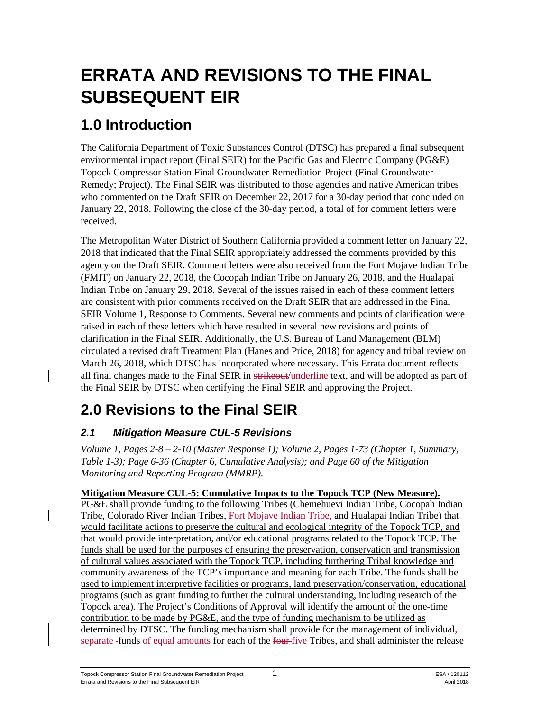# **ERRATA AND REVISIONS TO THE FINAL SUBSEQUENT EIR**

# **1.0 Introduction**

The California Department of Toxic Substances Control (DTSC) has prepared a final subsequent environmental impact report (Final SEIR) for the Pacific Gas and Electric Company (PG&E) Topock Compressor Station Final Groundwater Remediation Project (Final Groundwater Remedy; Project). The Final SEIR was distributed to those agencies and native American tribes who commented on the Draft SEIR on December 22, 2017 for a 30-day period that concluded on January 22, 2018. Following the close of the 30-day period, a total of for comment letters were received.

The Metropolitan Water District of Southern California provided a comment letter on January 22, 2018 that indicated that the Final SEIR appropriately addressed the comments provided by this agency on the Draft SEIR. Comment letters were also received from the Fort Mojave Indian Tribe (FMIT) on January 22, 2018, the Cocopah Indian Tribe on January 26, 2018, and the Hualapai Indian Tribe on January 29, 2018. Several of the issues raised in each of these comment letters are consistent with prior comments received on the Draft SEIR that are addressed in the Final SEIR Volume 1, Response to Comments. Several new comments and points of clarification were raised in each of these letters which have resulted in several new revisions and points of clarification in the Final SEIR. Additionally, the U.S. Bureau of Land Management (BLM) circulated a revised draft Treatment Plan (Hanes and Price, 2018) for agency and tribal review on March 26, 2018, which DTSC has incorporated where necessary. This Errata document reflects all final changes made to the Final SEIR in strikeout/underline text, and will be adopted as part of the Final SEIR by DTSC when certifying the Final SEIR and approving the Project.

# **2.0 Revisions to the Final SEIR**

## *2.1 Mitigation Measure CUL-5 Revisions*

*Volume 1, Pages 2-8 – 2-10 (Master Response 1); Volume 2, Pages 1-73 (Chapter 1, Summary, Table 1-3); Page 6-36 (Chapter 6, Cumulative Analysis); and Page 60 of the Mitigation Monitoring and Reporting Program (MMRP).* 

## **Mitigation Measure CUL-5: Cumulative Impacts to the Topock TCP (New Measure).**

PG&E shall provide funding to the following Tribes (Chemehuevi Indian Tribe, Cocopah Indian Tribe, Colorado River Indian Tribes, Fort Mojave Indian Tribe, and Hualapai Indian Tribe) that would facilitate actions to preserve the cultural and ecological integrity of the Topock TCP, and that would provide interpretation, and/or educational programs related to the Topock TCP. The funds shall be used for the purposes of ensuring the preservation, conservation and transmission of cultural values associated with the Topock TCP, including furthering Tribal knowledge and community awareness of the TCP's importance and meaning for each Tribe. The funds shall be used to implement interpretive facilities or programs, land preservation/conservation, educational programs (such as grant funding to further the cultural understanding, including research of the Topock area). The Project's Conditions of Approval will identify the amount of the one-time contribution to be made by PG&E, and the type of funding mechanism to be utilized as determined by DTSC. The funding mechanism shall provide for the management of individual, separate funds of equal amounts for each of the four five Tribes, and shall administer the release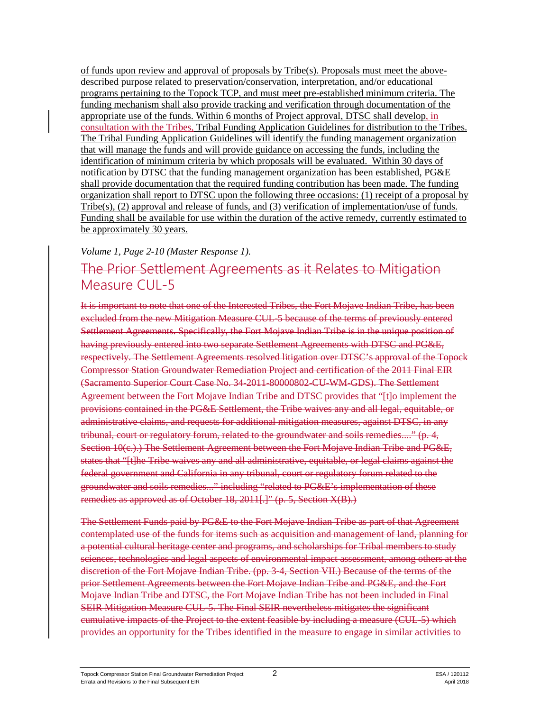of funds upon review and approval of proposals by Tribe(s). Proposals must meet the abovedescribed purpose related to preservation/conservation, interpretation, and/or educational programs pertaining to the Topock TCP, and must meet pre-established minimum criteria. The funding mechanism shall also provide tracking and verification through documentation of the appropriate use of the funds. Within 6 months of Project approval, DTSC shall develop, in consultation with the Tribes, Tribal Funding Application Guidelines for distribution to the Tribes. The Tribal Funding Application Guidelines will identify the funding management organization that will manage the funds and will provide guidance on accessing the funds, including the identification of minimum criteria by which proposals will be evaluated. Within 30 days of notification by DTSC that the funding management organization has been established, PG&E shall provide documentation that the required funding contribution has been made. The funding organization shall report to DTSC upon the following three occasions: (1) receipt of a proposal by Tribe(s), (2) approval and release of funds, and (3) verification of implementation/use of funds. Funding shall be available for use within the duration of the active remedy, currently estimated to be approximately 30 years.

#### *Volume 1, Page 2-10 (Master Response 1).*

# The Prior Settlement Agreements as it Relates to Mitigation Measure CUL-5

It is important to note that one of the Interested Tribes, the Fort Mojave Indian Tribe, has been excluded from the new Mitigation Measure CUL-5 because of the terms of previously entered Settlement Agreements. Specifically, the Fort Mojave Indian Tribe is in the unique position of having previously entered into two separate Settlement Agreements with DTSC and PG&E, respectively. The Settlement Agreements resolved litigation over DTSC's approval of the Topock Compressor Station Groundwater Remediation Project and certification of the 2011 Final EIR (Sacramento Superior Court Case No. 34-2011-80000802-CU-WM-GDS). The Settlement Agreement between the Fort Mojave Indian Tribe and DTSC provides that "[t]o implement the provisions contained in the PG&E Settlement, the Tribe waives any and all legal, equitable, or administrative claims, and requests for additional mitigation measures, against DTSC, in any tribunal, court or regulatory forum, related to the groundwater and soils remedies...." (p. 4, Section 10(c.).) The Settlement Agreement between the Fort Mojave Indian Tribe and PG&E, states that "[t]he Tribe waives any and all administrative, equitable, or legal claims against the federal government and California in any tribunal, court or regulatory forum related to the groundwater and soils remedies..." including "related to PG&E's implementation of these remedies as approved as of October 18, 2011[.]" (p. 5, Section X(B).)

The Settlement Funds paid by PG&E to the Fort Mojave Indian Tribe as part of that Agreement contemplated use of the funds for items such as acquisition and management of land, planning for a potential cultural heritage center and programs, and scholarships for Tribal members to study sciences, technologies and legal aspects of environmental impact assessment, among others at the discretion of the Fort Mojave Indian Tribe. (pp. 3-4, Section VII.) Because of the terms of the prior Settlement Agreements between the Fort Mojave Indian Tribe and PG&E, and the Fort Mojave Indian Tribe and DTSC, the Fort Mojave Indian Tribe has not been included in Final SEIR Mitigation Measure CUL-5. The Final SEIR nevertheless mitigates the significant cumulative impacts of the Project to the extent feasible by including a measure (CUL-5) which provides an opportunity for the Tribes identified in the measure to engage in similar activities to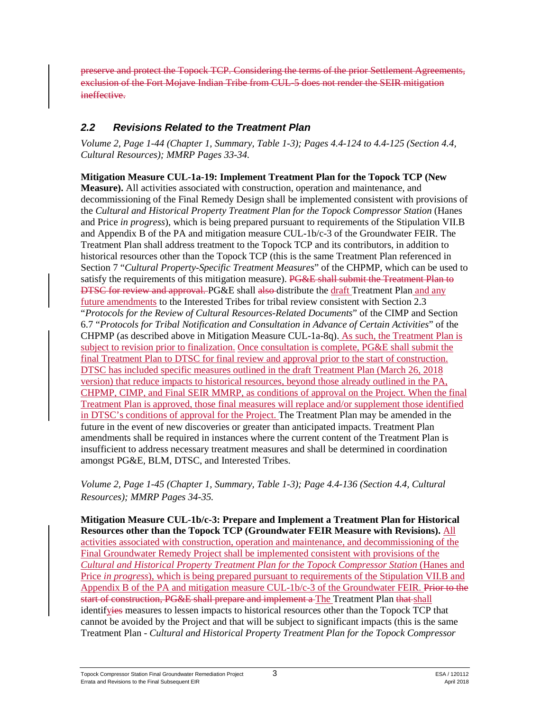preserve and protect the Topock TCP. Considering the terms of the prior Settlement Agreements, exclusion of the Fort Mojave Indian Tribe from CUL-5 does not render the SEIR mitigation ineffective.

## *2.2 Revisions Related to the Treatment Plan*

*Volume 2, Page 1-44 (Chapter 1, Summary, Table 1-3); Pages 4.4-124 to 4.4-125 (Section 4.4, Cultural Resources); MMRP Pages 33-34.*

**Mitigation Measure CUL-1a-19: Implement Treatment Plan for the Topock TCP (New Measure).** All activities associated with construction, operation and maintenance, and decommissioning of the Final Remedy Design shall be implemented consistent with provisions of the *Cultural and Historical Property Treatment Plan for the Topock Compressor Station* (Hanes and Price *in progress*), which is being prepared pursuant to requirements of the Stipulation VII.B and Appendix B of the PA and mitigation measure CUL-1b/c-3 of the Groundwater FEIR. The Treatment Plan shall address treatment to the Topock TCP and its contributors, in addition to historical resources other than the Topock TCP (this is the same Treatment Plan referenced in Section 7 "*Cultural Property-Specific Treatment Measures*" of the CHPMP, which can be used to satisfy the requirements of this mitigation measure). PG&E shall submit the Treatment Plan to **DTSC for review and approval. PG&E shall also-distribute the draft Treatment Plan and any** future amendments to the Interested Tribes for tribal review consistent with Section 2.3 "*Protocols for the Review of Cultural Resources-Related Documents*" of the CIMP and Section 6.7 "*Protocols for Tribal Notification and Consultation in Advance of Certain Activities*" of the CHPMP (as described above in Mitigation Measure CUL-1a-8q). As such, the Treatment Plan is subject to revision prior to finalization. Once consultation is complete, PG&E shall submit the final Treatment Plan to DTSC for final review and approval prior to the start of construction. DTSC has included specific measures outlined in the draft Treatment Plan (March 26, 2018 version) that reduce impacts to historical resources, beyond those already outlined in the PA, CHPMP, CIMP, and Final SEIR MMRP, as conditions of approval on the Project. When the final Treatment Plan is approved, those final measures will replace and/or supplement those identified in DTSC's conditions of approval for the Project. The Treatment Plan may be amended in the future in the event of new discoveries or greater than anticipated impacts. Treatment Plan amendments shall be required in instances where the current content of the Treatment Plan is insufficient to address necessary treatment measures and shall be determined in coordination amongst PG&E, BLM, DTSC, and Interested Tribes.

*Volume 2, Page 1-45 (Chapter 1, Summary, Table 1-3); Page 4.4-136 (Section 4.4, Cultural Resources); MMRP Pages 34-35.*

**Mitigation Measure CUL-1b/c-3: Prepare and Implement a Treatment Plan for Historical Resources other than the Topock TCP (Groundwater FEIR Measure with Revisions).** All activities associated with construction, operation and maintenance, and decommissioning of the Final Groundwater Remedy Project shall be implemented consistent with provisions of the *Cultural and Historical Property Treatment Plan for the Topock Compressor Station* (Hanes and Price *in progress*), which is being prepared pursuant to requirements of the Stipulation VII.B and Appendix B of the PA and mitigation measure CUL-1b/c-3 of the Groundwater FEIR. Prior to the start of construction, PG&E shall prepare and implement a The Treatment Plan that shall identifyies measures to lessen impacts to historical resources other than the Topock TCP that cannot be avoided by the Project and that will be subject to significant impacts (this is the same Treatment Plan - *Cultural and Historical Property Treatment Plan for the Topock Compressor*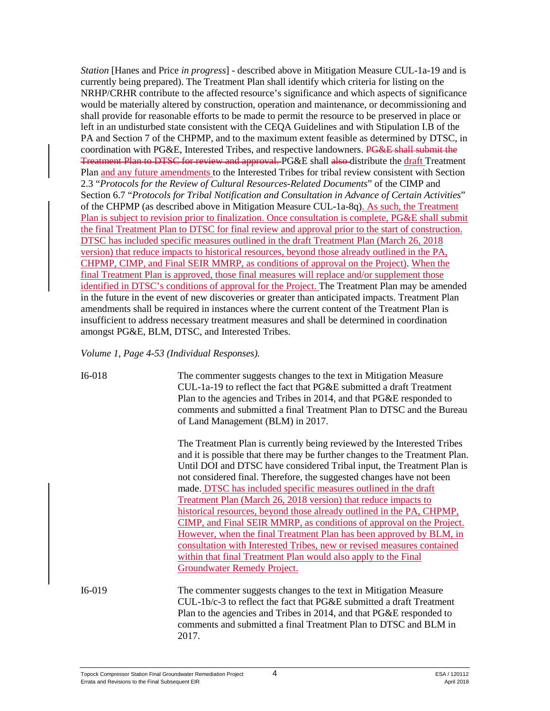*Station* [Hanes and Price *in progress*] - described above in Mitigation Measure CUL-1a-19 and is currently being prepared). The Treatment Plan shall identify which criteria for listing on the NRHP/CRHR contribute to the affected resource's significance and which aspects of significance would be materially altered by construction, operation and maintenance, or decommissioning and shall provide for reasonable efforts to be made to permit the resource to be preserved in place or left in an undisturbed state consistent with the CEQA Guidelines and with Stipulation I.B of the PA and Section 7 of the CHPMP, and to the maximum extent feasible as determined by DTSC, in coordination with PG&E, Interested Tribes, and respective landowners. PG&E shall submit the Treatment Plan to DTSC for review and approval. PG&E shall also distribute the draft Treatment Plan and any future amendments to the Interested Tribes for tribal review consistent with Section 2.3 "*Protocols for the Review of Cultural Resources-Related Documents*" of the CIMP and Section 6.7 "*Protocols for Tribal Notification and Consultation in Advance of Certain Activities*" of the CHPMP (as described above in Mitigation Measure CUL-1a-8q). As such, the Treatment Plan is subject to revision prior to finalization. Once consultation is complete, PG&E shall submit the final Treatment Plan to DTSC for final review and approval prior to the start of construction. DTSC has included specific measures outlined in the draft Treatment Plan (March 26, 2018 version) that reduce impacts to historical resources, beyond those already outlined in the PA, CHPMP, CIMP, and Final SEIR MMRP, as conditions of approval on the Project). When the final Treatment Plan is approved, those final measures will replace and/or supplement those identified in DTSC's conditions of approval for the Project. The Treatment Plan may be amended in the future in the event of new discoveries or greater than anticipated impacts. Treatment Plan amendments shall be required in instances where the current content of the Treatment Plan is insufficient to address necessary treatment measures and shall be determined in coordination amongst PG&E, BLM, DTSC, and Interested Tribes.

*Volume 1, Page 4-53 (Individual Responses).*

I6-018 The commenter suggests changes to the text in Mitigation Measure CUL-1a-19 to reflect the fact that PG&E submitted a draft Treatment Plan to the agencies and Tribes in 2014, and that PG&E responded to comments and submitted a final Treatment Plan to DTSC and the Bureau of Land Management (BLM) in 2017.

> The Treatment Plan is currently being reviewed by the Interested Tribes and it is possible that there may be further changes to the Treatment Plan. Until DOI and DTSC have considered Tribal input, the Treatment Plan is not considered final. Therefore, the suggested changes have not been made. DTSC has included specific measures outlined in the draft Treatment Plan (March 26, 2018 version) that reduce impacts to historical resources, beyond those already outlined in the PA, CHPMP, CIMP, and Final SEIR MMRP, as conditions of approval on the Project. However, when the final Treatment Plan has been approved by BLM, in consultation with Interested Tribes, new or revised measures contained within that final Treatment Plan would also apply to the Final Groundwater Remedy Project.

CUL-1b/c-3 to reflect the fact that PG&E submitted a draft Treatment Plan to the agencies and Tribes in 2014, and that PG&E responded to comments and submitted a final Treatment Plan to DTSC and BLM in

I6-019 The commenter suggests changes to the text in Mitigation Measure

2017.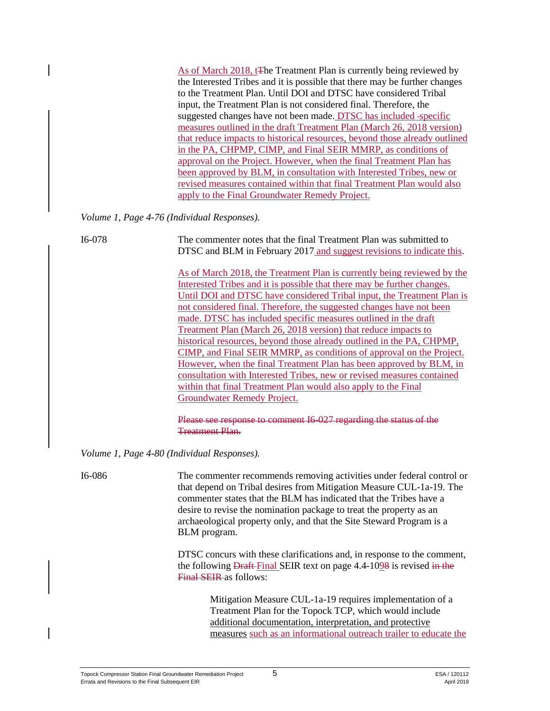As of March 2018, t<sub>T</sub>he Treatment Plan is currently being reviewed by the Interested Tribes and it is possible that there may be further changes to the Treatment Plan. Until DOI and DTSC have considered Tribal input, the Treatment Plan is not considered final. Therefore, the suggested changes have not been made. DTSC has included -specific measures outlined in the draft Treatment Plan (March 26, 2018 version) that reduce impacts to historical resources, beyond those already outlined in the PA, CHPMP, CIMP, and Final SEIR MMRP, as conditions of approval on the Project. However, when the final Treatment Plan has been approved by BLM, in consultation with Interested Tribes, new or revised measures contained within that final Treatment Plan would also apply to the Final Groundwater Remedy Project.

*Volume 1, Page 4-76 (Individual Responses).*

I6-078 The commenter notes that the final Treatment Plan was submitted to DTSC and BLM in February 2017 and suggest revisions to indicate this.

> As of March 2018, the Treatment Plan is currently being reviewed by the Interested Tribes and it is possible that there may be further changes. Until DOI and DTSC have considered Tribal input, the Treatment Plan is not considered final. Therefore, the suggested changes have not been made. DTSC has included specific measures outlined in the draft Treatment Plan (March 26, 2018 version) that reduce impacts to historical resources, beyond those already outlined in the PA, CHPMP, CIMP, and Final SEIR MMRP, as conditions of approval on the Project. However, when the final Treatment Plan has been approved by BLM, in consultation with Interested Tribes, new or revised measures contained within that final Treatment Plan would also apply to the Final Groundwater Remedy Project.

Please see response to comment I6-027 regarding the status of the Treatment Plan.

*Volume 1, Page 4-80 (Individual Responses).*

I6-086 The commenter recommends removing activities under federal control or that depend on Tribal desires from Mitigation Measure CUL-1a-19. The commenter states that the BLM has indicated that the Tribes have a desire to revise the nomination package to treat the property as an archaeological property only, and that the Site Steward Program is a BLM program.

> DTSC concurs with these clarifications and, in response to the comment, the following **Draft-Final SEIR** text on page 4.4-1098 is revised in the Final SEIR as follows:

> > Mitigation Measure CUL-1a-19 requires implementation of a Treatment Plan for the Topock TCP, which would include additional documentation, interpretation, and protective measures such as an informational outreach trailer to educate the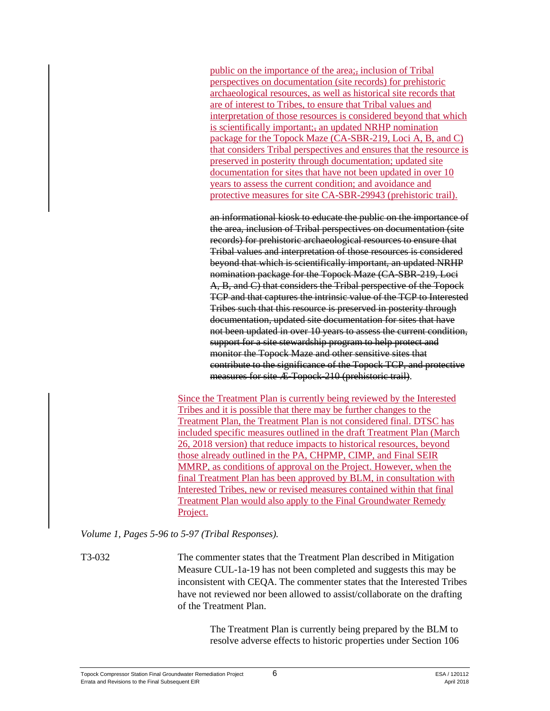public on the importance of the area; inclusion of Tribal perspectives on documentation (site records) for prehistoric archaeological resources, as well as historical site records that are of interest to Tribes, to ensure that Tribal values and interpretation of those resources is considered beyond that which is scientifically important; an updated NRHP nomination package for the Topock Maze (CA-SBR-219, Loci A, B, and C) that considers Tribal perspectives and ensures that the resource is preserved in posterity through documentation; updated site documentation for sites that have not been updated in over 10 years to assess the current condition; and avoidance and protective measures for site CA-SBR-29943 (prehistoric trail).

an informational kiosk to educate the public on the importance of the area, inclusion of Tribal perspectives on documentation (site records) for prehistoric archaeological resources to ensure that Tribal values and interpretation of those resources is considered beyond that which is scientifically important, an updated NRHP nomination package for the Topock Maze (CA-SBR-219, Loci A, B, and C) that considers the Tribal perspective of the Topock TCP and that captures the intrinsic value of the TCP to Interested Tribes such that this resource is preserved in posterity through documentation, updated site documentation for sites that have not been updated in over 10 years to assess the current condition, support for a site stewardship program to help protect and monitor the Topock Maze and other sensitive sites that contribute to the significance of the Topock TCP, and protective measures for site Æ-Topock-210 (prehistoric trail).

Since the Treatment Plan is currently being reviewed by the Interested Tribes and it is possible that there may be further changes to the Treatment Plan, the Treatment Plan is not considered final. DTSC has included specific measures outlined in the draft Treatment Plan (March 26, 2018 version) that reduce impacts to historical resources, beyond those already outlined in the PA, CHPMP, CIMP, and Final SEIR MMRP, as conditions of approval on the Project. However, when the final Treatment Plan has been approved by BLM, in consultation with Interested Tribes, new or revised measures contained within that final Treatment Plan would also apply to the Final Groundwater Remedy Project.

*Volume 1, Pages 5-96 to 5-97 (Tribal Responses).*

T3-032 The commenter states that the Treatment Plan described in Mitigation Measure CUL-1a-19 has not been completed and suggests this may be inconsistent with CEQA. The commenter states that the Interested Tribes have not reviewed nor been allowed to assist/collaborate on the drafting of the Treatment Plan.

> The Treatment Plan is currently being prepared by the BLM to resolve adverse effects to historic properties under Section 106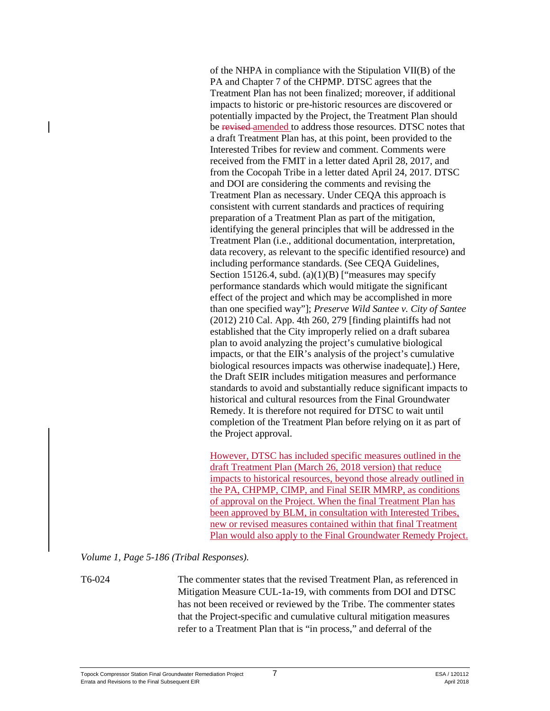of the NHPA in compliance with the Stipulation VII(B) of the PA and Chapter 7 of the CHPMP. DTSC agrees that the Treatment Plan has not been finalized; moreover, if additional impacts to historic or pre-historic resources are discovered or potentially impacted by the Project, the Treatment Plan should be revised amended to address those resources. DTSC notes that a draft Treatment Plan has, at this point, been provided to the Interested Tribes for review and comment. Comments were received from the FMIT in a letter dated April 28, 2017, and from the Cocopah Tribe in a letter dated April 24, 2017. DTSC and DOI are considering the comments and revising the Treatment Plan as necessary. Under CEQA this approach is consistent with current standards and practices of requiring preparation of a Treatment Plan as part of the mitigation, identifying the general principles that will be addressed in the Treatment Plan (i.e., additional documentation, interpretation, data recovery, as relevant to the specific identified resource) and including performance standards. (See CEQA Guidelines, Section 15126.4, subd.  $(a)(1)(B)$  ["measures may specify performance standards which would mitigate the significant effect of the project and which may be accomplished in more than one specified way"]; *Preserve Wild Santee v. City of Santee* (2012) 210 Cal. App. 4th 260, 279 [finding plaintiffs had not established that the City improperly relied on a draft subarea plan to avoid analyzing the project's cumulative biological impacts, or that the EIR's analysis of the project's cumulative biological resources impacts was otherwise inadequate].) Here, the Draft SEIR includes mitigation measures and performance standards to avoid and substantially reduce significant impacts to historical and cultural resources from the Final Groundwater Remedy. It is therefore not required for DTSC to wait until completion of the Treatment Plan before relying on it as part of the Project approval.

However, DTSC has included specific measures outlined in the draft Treatment Plan (March 26, 2018 version) that reduce impacts to historical resources, beyond those already outlined in the PA, CHPMP, CIMP, and Final SEIR MMRP, as conditions of approval on the Project. When the final Treatment Plan has been approved by BLM, in consultation with Interested Tribes, new or revised measures contained within that final Treatment Plan would also apply to the Final Groundwater Remedy Project.

*Volume 1, Page 5-186 (Tribal Responses).*

T6-024 The commenter states that the revised Treatment Plan, as referenced in Mitigation Measure CUL-1a-19, with comments from DOI and DTSC has not been received or reviewed by the Tribe. The commenter states that the Project-specific and cumulative cultural mitigation measures refer to a Treatment Plan that is "in process," and deferral of the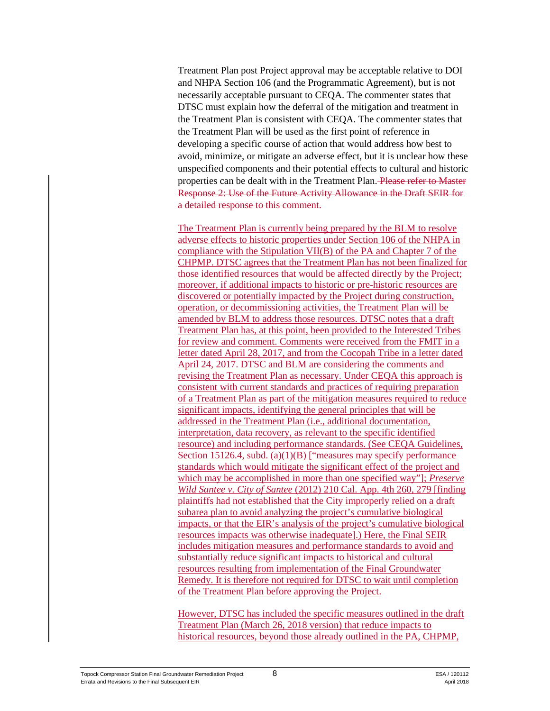Treatment Plan post Project approval may be acceptable relative to DOI and NHPA Section 106 (and the Programmatic Agreement), but is not necessarily acceptable pursuant to CEQA. The commenter states that DTSC must explain how the deferral of the mitigation and treatment in the Treatment Plan is consistent with CEQA. The commenter states that the Treatment Plan will be used as the first point of reference in developing a specific course of action that would address how best to avoid, minimize, or mitigate an adverse effect, but it is unclear how these unspecified components and their potential effects to cultural and historic properties can be dealt with in the Treatment Plan. Please refer to Master Response 2: Use of the Future Activity Allowance in the Draft SEIR for a detailed response to this comment.

The Treatment Plan is currently being prepared by the BLM to resolve adverse effects to historic properties under Section 106 of the NHPA in compliance with the Stipulation VII(B) of the PA and Chapter 7 of the CHPMP. DTSC agrees that the Treatment Plan has not been finalized for those identified resources that would be affected directly by the Project; moreover, if additional impacts to historic or pre-historic resources are discovered or potentially impacted by the Project during construction, operation, or decommissioning activities, the Treatment Plan will be amended by BLM to address those resources. DTSC notes that a draft Treatment Plan has, at this point, been provided to the Interested Tribes for review and comment. Comments were received from the FMIT in a letter dated April 28, 2017, and from the Cocopah Tribe in a letter dated April 24, 2017. DTSC and BLM are considering the comments and revising the Treatment Plan as necessary. Under CEQA this approach is consistent with current standards and practices of requiring preparation of a Treatment Plan as part of the mitigation measures required to reduce significant impacts, identifying the general principles that will be addressed in the Treatment Plan (i.e., additional documentation, interpretation, data recovery, as relevant to the specific identified resource) and including performance standards. (See CEQA Guidelines, Section 15126.4, subd. (a)(1)(B) ["measures may specify performance standards which would mitigate the significant effect of the project and which may be accomplished in more than one specified way"]; *Preserve Wild Santee v. City of Santee* (2012) 210 Cal. App. 4th 260, 279 [finding plaintiffs had not established that the City improperly relied on a draft subarea plan to avoid analyzing the project's cumulative biological impacts, or that the EIR's analysis of the project's cumulative biological resources impacts was otherwise inadequate].) Here, the Final SEIR includes mitigation measures and performance standards to avoid and substantially reduce significant impacts to historical and cultural resources resulting from implementation of the Final Groundwater Remedy. It is therefore not required for DTSC to wait until completion of the Treatment Plan before approving the Project.

However, DTSC has included the specific measures outlined in the draft Treatment Plan (March 26, 2018 version) that reduce impacts to historical resources, beyond those already outlined in the PA, CHPMP,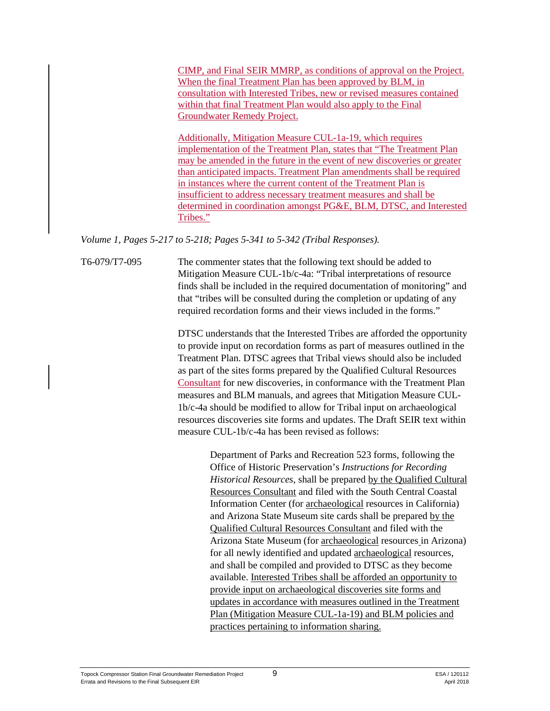CIMP, and Final SEIR MMRP, as conditions of approval on the Project. When the final Treatment Plan has been approved by BLM, in consultation with Interested Tribes, new or revised measures contained within that final Treatment Plan would also apply to the Final Groundwater Remedy Project.

Additionally, Mitigation Measure CUL-1a-19, which requires implementation of the Treatment Plan, states that "The Treatment Plan may be amended in the future in the event of new discoveries or greater than anticipated impacts. Treatment Plan amendments shall be required in instances where the current content of the Treatment Plan is insufficient to address necessary treatment measures and shall be determined in coordination amongst PG&E, BLM, DTSC, and Interested Tribes."

*Volume 1, Pages 5-217 to 5-218; Pages 5-341 to 5-342 (Tribal Responses).*

T6-079/T7-095 The commenter states that the following text should be added to Mitigation Measure CUL-1b/c-4a: "Tribal interpretations of resource finds shall be included in the required documentation of monitoring" and that "tribes will be consulted during the completion or updating of any required recordation forms and their views included in the forms."

> DTSC understands that the Interested Tribes are afforded the opportunity to provide input on recordation forms as part of measures outlined in the Treatment Plan. DTSC agrees that Tribal views should also be included as part of the sites forms prepared by the Qualified Cultural Resources Consultant for new discoveries, in conformance with the Treatment Plan measures and BLM manuals, and agrees that Mitigation Measure CUL-1b/c-4a should be modified to allow for Tribal input on archaeological resources discoveries site forms and updates. The Draft SEIR text within measure CUL-1b/c-4a has been revised as follows:

> > Department of Parks and Recreation 523 forms, following the Office of Historic Preservation's *Instructions for Recording Historical Resources*, shall be prepared by the Qualified Cultural Resources Consultant and filed with the South Central Coastal Information Center (for archaeological resources in California) and Arizona State Museum site cards shall be prepared by the Qualified Cultural Resources Consultant and filed with the Arizona State Museum (for archaeological resources in Arizona) for all newly identified and updated archaeological resources, and shall be compiled and provided to DTSC as they become available. Interested Tribes shall be afforded an opportunity to provide input on archaeological discoveries site forms and updates in accordance with measures outlined in the Treatment Plan (Mitigation Measure CUL-1a-19) and BLM policies and practices pertaining to information sharing.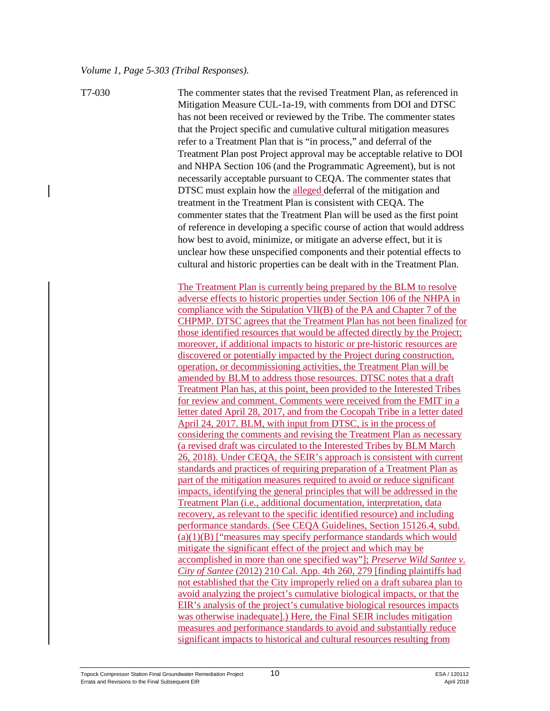T7-030 The commenter states that the revised Treatment Plan, as referenced in Mitigation Measure CUL-1a-19, with comments from DOI and DTSC has not been received or reviewed by the Tribe. The commenter states that the Project specific and cumulative cultural mitigation measures refer to a Treatment Plan that is "in process," and deferral of the Treatment Plan post Project approval may be acceptable relative to DOI and NHPA Section 106 (and the Programmatic Agreement), but is not necessarily acceptable pursuant to CEQA. The commenter states that DTSC must explain how the alleged deferral of the mitigation and treatment in the Treatment Plan is consistent with CEQA. The commenter states that the Treatment Plan will be used as the first point of reference in developing a specific course of action that would address how best to avoid, minimize, or mitigate an adverse effect, but it is unclear how these unspecified components and their potential effects to cultural and historic properties can be dealt with in the Treatment Plan.

> The Treatment Plan is currently being prepared by the BLM to resolve adverse effects to historic properties under Section 106 of the NHPA in compliance with the Stipulation VII(B) of the PA and Chapter 7 of the CHPMP. DTSC agrees that the Treatment Plan has not been finalized for those identified resources that would be affected directly by the Project; moreover, if additional impacts to historic or pre-historic resources are discovered or potentially impacted by the Project during construction, operation, or decommissioning activities, the Treatment Plan will be amended by BLM to address those resources. DTSC notes that a draft Treatment Plan has, at this point, been provided to the Interested Tribes for review and comment. Comments were received from the FMIT in a letter dated April 28, 2017, and from the Cocopah Tribe in a letter dated April 24, 2017. BLM, with input from DTSC, is in the process of considering the comments and revising the Treatment Plan as necessary (a revised draft was circulated to the Interested Tribes by BLM March 26, 2018). Under CEQA, the SEIR's approach is consistent with current standards and practices of requiring preparation of a Treatment Plan as part of the mitigation measures required to avoid or reduce significant impacts, identifying the general principles that will be addressed in the Treatment Plan (i.e., additional documentation, interpretation, data recovery, as relevant to the specific identified resource) and including performance standards. (See CEQA Guidelines, Section 15126.4, subd. (a)(1)(B) ["measures may specify performance standards which would mitigate the significant effect of the project and which may be accomplished in more than one specified way"]; *Preserve Wild Santee v. City of Santee* (2012) 210 Cal. App. 4th 260, 279 [finding plaintiffs had not established that the City improperly relied on a draft subarea plan to avoid analyzing the project's cumulative biological impacts, or that the EIR's analysis of the project's cumulative biological resources impacts was otherwise inadequate].) Here, the Final SEIR includes mitigation measures and performance standards to avoid and substantially reduce significant impacts to historical and cultural resources resulting from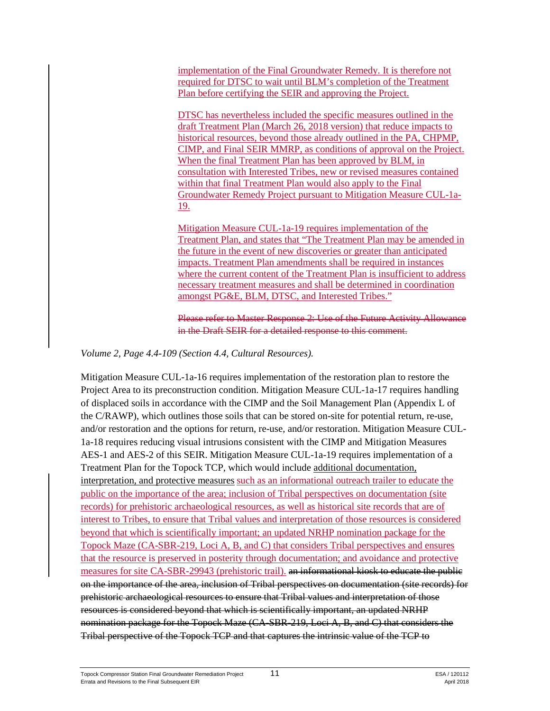implementation of the Final Groundwater Remedy. It is therefore not required for DTSC to wait until BLM's completion of the Treatment Plan before certifying the SEIR and approving the Project.

DTSC has nevertheless included the specific measures outlined in the draft Treatment Plan (March 26, 2018 version) that reduce impacts to historical resources, beyond those already outlined in the PA, CHPMP, CIMP, and Final SEIR MMRP, as conditions of approval on the Project. When the final Treatment Plan has been approved by BLM, in consultation with Interested Tribes, new or revised measures contained within that final Treatment Plan would also apply to the Final Groundwater Remedy Project pursuant to Mitigation Measure CUL-1a-19.

Mitigation Measure CUL-1a-19 requires implementation of the Treatment Plan, and states that "The Treatment Plan may be amended in the future in the event of new discoveries or greater than anticipated impacts. Treatment Plan amendments shall be required in instances where the current content of the Treatment Plan is insufficient to address necessary treatment measures and shall be determined in coordination amongst PG&E, BLM, DTSC, and Interested Tribes."

Please refer to Master Response 2: Use of the Future Activity Allowance in the Draft SEIR for a detailed response to this comment.

#### *Volume 2, Page 4.4-109 (Section 4.4, Cultural Resources).*

Mitigation Measure CUL-1a-16 requires implementation of the restoration plan to restore the Project Area to its preconstruction condition. Mitigation Measure CUL-1a-17 requires handling of displaced soils in accordance with the CIMP and the Soil Management Plan (Appendix L of the C/RAWP), which outlines those soils that can be stored on-site for potential return, re-use, and/or restoration and the options for return, re-use, and/or restoration. Mitigation Measure CUL-1a-18 requires reducing visual intrusions consistent with the CIMP and Mitigation Measures AES-1 and AES-2 of this SEIR. Mitigation Measure CUL-1a-19 requires implementation of a Treatment Plan for the Topock TCP, which would include additional documentation, interpretation, and protective measures such as an informational outreach trailer to educate the public on the importance of the area; inclusion of Tribal perspectives on documentation (site records) for prehistoric archaeological resources, as well as historical site records that are of interest to Tribes, to ensure that Tribal values and interpretation of those resources is considered beyond that which is scientifically important; an updated NRHP nomination package for the Topock Maze (CA-SBR-219, Loci A, B, and C) that considers Tribal perspectives and ensures that the resource is preserved in posterity through documentation; and avoidance and protective measures for site CA-SBR-29943 (prehistoric trail). an informational kiosk to educate the public on the importance of the area, inclusion of Tribal perspectives on documentation (site records) for prehistoric archaeological resources to ensure that Tribal values and interpretation of those resources is considered beyond that which is scientifically important, an updated NRHP nomination package for the Topock Maze (CA-SBR-219, Loci A, B, and C) that considers the Tribal perspective of the Topock TCP and that captures the intrinsic value of the TCP to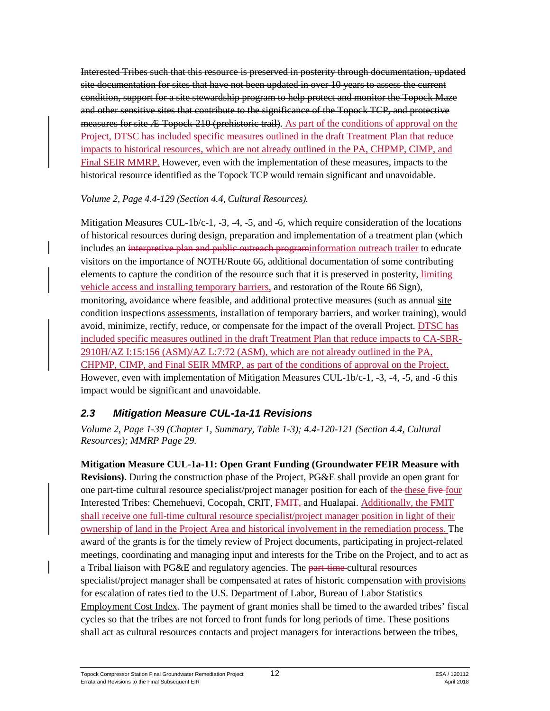Interested Tribes such that this resource is preserved in posterity through documentation, updated site documentation for sites that have not been updated in over 10 years to assess the current condition, support for a site stewardship program to help protect and monitor the Topock Maze and other sensitive sites that contribute to the significance of the Topock TCP, and protective measures for site Æ-Topock-210 (prehistoric trail). As part of the conditions of approval on the Project, DTSC has included specific measures outlined in the draft Treatment Plan that reduce impacts to historical resources, which are not already outlined in the PA, CHPMP, CIMP, and Final SEIR MMRP. However, even with the implementation of these measures, impacts to the historical resource identified as the Topock TCP would remain significant and unavoidable.

#### *Volume 2, Page 4.4-129 (Section 4.4, Cultural Resources).*

Mitigation Measures CUL-1b/c-1, -3, -4, -5, and -6, which require consideration of the locations of historical resources during design, preparation and implementation of a treatment plan (which includes an interpretive plan and public outreach programinformation outreach trailer to educate visitors on the importance of NOTH/Route 66, additional documentation of some contributing elements to capture the condition of the resource such that it is preserved in posterity, limiting vehicle access and installing temporary barriers, and restoration of the Route 66 Sign), monitoring, avoidance where feasible, and additional protective measures (such as annual site condition inspections assessments, installation of temporary barriers, and worker training), would avoid, minimize, rectify, reduce, or compensate for the impact of the overall Project. DTSC has included specific measures outlined in the draft Treatment Plan that reduce impacts to CA-SBR-2910H/AZ I:15:156 (ASM)/AZ L:7:72 (ASM), which are not already outlined in the PA, CHPMP, CIMP, and Final SEIR MMRP, as part of the conditions of approval on the Project. However, even with implementation of Mitigation Measures CUL-1b/c-1, -3, -4, -5, and -6 this impact would be significant and unavoidable.

## *2.3 Mitigation Measure CUL-1a-11 Revisions*

*Volume 2, Page 1-39 (Chapter 1, Summary, Table 1-3); 4.4-120-121 (Section 4.4, Cultural Resources); MMRP Page 29.*

**Mitigation Measure CUL-1a-11: Open Grant Funding (Groundwater FEIR Measure with Revisions).** During the construction phase of the Project, PG&E shall provide an open grant for one part-time cultural resource specialist/project manager position for each of the these five four Interested Tribes: Chemehuevi, Cocopah, CRIT, FMIT, and Hualapai. Additionally, the FMIT shall receive one full-time cultural resource specialist/project manager position in light of their ownership of land in the Project Area and historical involvement in the remediation process. The award of the grants is for the timely review of Project documents, participating in project-related meetings, coordinating and managing input and interests for the Tribe on the Project, and to act as a Tribal liaison with PG&E and regulatory agencies. The part-time-cultural resources specialist/project manager shall be compensated at rates of historic compensation with provisions for escalation of rates tied to the U.S. Department of Labor, Bureau of Labor Statistics Employment Cost Index. The payment of grant monies shall be timed to the awarded tribes' fiscal cycles so that the tribes are not forced to front funds for long periods of time. These positions shall act as cultural resources contacts and project managers for interactions between the tribes,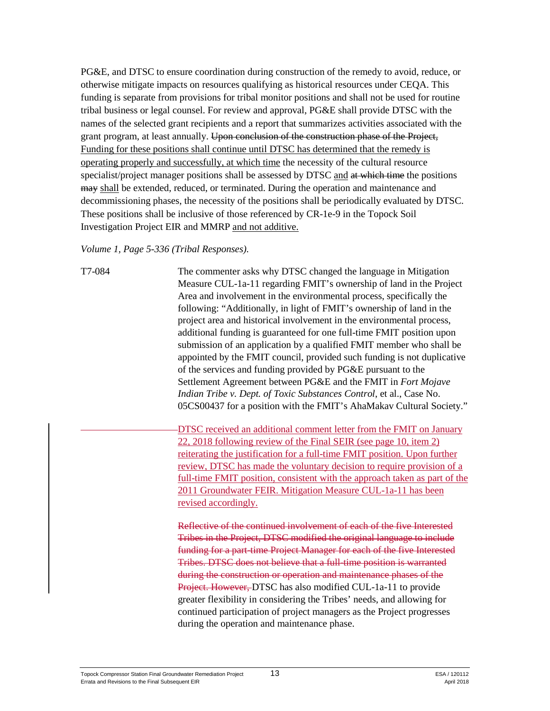PG&E, and DTSC to ensure coordination during construction of the remedy to avoid, reduce, or otherwise mitigate impacts on resources qualifying as historical resources under CEQA. This funding is separate from provisions for tribal monitor positions and shall not be used for routine tribal business or legal counsel. For review and approval, PG&E shall provide DTSC with the names of the selected grant recipients and a report that summarizes activities associated with the grant program, at least annually. Upon conclusion of the construction phase of the Project, Funding for these positions shall continue until DTSC has determined that the remedy is operating properly and successfully, at which time the necessity of the cultural resource specialist/project manager positions shall be assessed by DTSC and at which time the positions  $m$ <sub>may</sub> shall be extended, reduced, or terminated. During the operation and maintenance and decommissioning phases, the necessity of the positions shall be periodically evaluated by DTSC. These positions shall be inclusive of those referenced by CR-1e-9 in the Topock Soil Investigation Project EIR and MMRP and not additive.

*Volume 1, Page 5-336 (Tribal Responses).* 

T7-084 The commenter asks why DTSC changed the language in Mitigation Measure CUL-1a-11 regarding FMIT's ownership of land in the Project Area and involvement in the environmental process, specifically the following: "Additionally, in light of FMIT's ownership of land in the project area and historical involvement in the environmental process, additional funding is guaranteed for one full-time FMIT position upon submission of an application by a qualified FMIT member who shall be appointed by the FMIT council, provided such funding is not duplicative of the services and funding provided by PG&E pursuant to the Settlement Agreement between PG&E and the FMIT in *Fort Mojave Indian Tribe v. Dept. of Toxic Substances Control*, et al., Case No. 05CS00437 for a position with the FMIT's AhaMakav Cultural Society."

> DTSC received an additional comment letter from the FMIT on January 22, 2018 following review of the Final SEIR (see page 10, item 2) reiterating the justification for a full-time FMIT position. Upon further review, DTSC has made the voluntary decision to require provision of a full-time FMIT position, consistent with the approach taken as part of the 2011 Groundwater FEIR. Mitigation Measure CUL-1a-11 has been revised accordingly.

Reflective of the continued involvement of each of the five Interested Tribes in the Project, DTSC modified the original language to include funding for a part-time Project Manager for each of the five Interested Tribes. DTSC does not believe that a full-time position is warranted during the construction or operation and maintenance phases of the Project. However, DTSC has also modified CUL-1a-11 to provide greater flexibility in considering the Tribes' needs, and allowing for continued participation of project managers as the Project progresses during the operation and maintenance phase.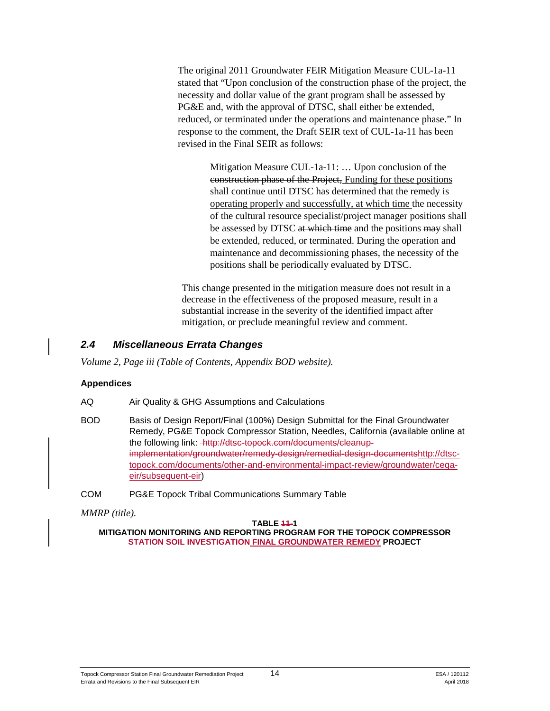The original 2011 Groundwater FEIR Mitigation Measure CUL-1a-11 stated that "Upon conclusion of the construction phase of the project, the necessity and dollar value of the grant program shall be assessed by PG&E and, with the approval of DTSC, shall either be extended, reduced, or terminated under the operations and maintenance phase." In response to the comment, the Draft SEIR text of CUL-1a-11 has been revised in the Final SEIR as follows:

> Mitigation Measure CUL-1a-11: ... Upon conclusion of the construction phase of the Project, Funding for these positions shall continue until DTSC has determined that the remedy is operating properly and successfully, at which time the necessity of the cultural resource specialist/project manager positions shall be assessed by DTSC at which time and the positions may shall be extended, reduced, or terminated. During the operation and maintenance and decommissioning phases, the necessity of the positions shall be periodically evaluated by DTSC.

This change presented in the mitigation measure does not result in a decrease in the effectiveness of the proposed measure, result in a substantial increase in the severity of the identified impact after mitigation, or preclude meaningful review and comment.

## *2.4 Miscellaneous Errata Changes*

*Volume 2, Page iii (Table of Contents, Appendix BOD website).*

#### **Appendices**

AQ Air Quality & GHG Assumptions and Calculations

- BOD Basis of Design Report/Final (100%) Design Submittal for the Final Groundwater Remedy, PG&E Topock Compressor Station, Needles, California (available online at the following link: - http://dtsc-topock.com/documents/cleanupimplementation/groundwater/remedy-design/remedial-design-document[shttp://dtsc](http://dtsc-topock.com/documents/other-and-environmental-impact-review/groundwater/ceqa-eir/subsequent-eir)[topock.com/documents/other-and-environmental-impact-review/groundwater/ceqa](http://dtsc-topock.com/documents/other-and-environmental-impact-review/groundwater/ceqa-eir/subsequent-eir)[eir/subsequent-eir\)](http://dtsc-topock.com/documents/other-and-environmental-impact-review/groundwater/ceqa-eir/subsequent-eir)
- COM PG&E Topock Tribal Communications Summary Table

*MMRP (title).* 

**TABLE 11-1 MITIGATION MONITORING AND REPORTING PROGRAM FOR THE TOPOCK COMPRESSOR STATION SOIL INVESTIGATION FINAL GROUNDWATER REMEDY PROJECT**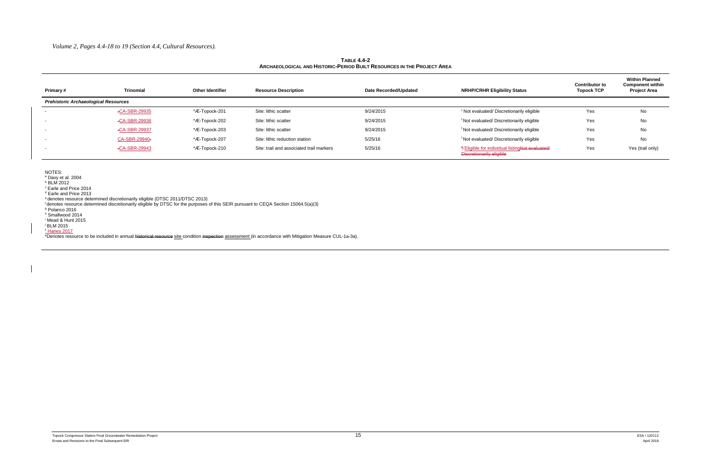#### **TABLE 4.4-2 ARCHAEOLOGICAL AND HISTORIC-PERIOD BUILT RESOURCES IN THE PROJECT AREA**

| Primary#                                    | <b>Trinomial</b> | <b>Other Identifier</b> | <b>Resource Description</b>              | Date Recorded/Updated | <b>NRHP/CRHR Eligibility Status</b>                                                    | <b>Contributor to</b><br><b>Topock TCP</b> | <b>Within Planned</b><br><b>Component within</b><br><b>Project Area</b> |
|---------------------------------------------|------------------|-------------------------|------------------------------------------|-----------------------|----------------------------------------------------------------------------------------|--------------------------------------------|-------------------------------------------------------------------------|
| <b>Prehistoric Archaeological Resources</b> |                  |                         |                                          |                       |                                                                                        |                                            |                                                                         |
|                                             | -CA-SBR-29935    | *Æ-Topock-201           | Site: lithic scatter                     | 9/24/2015             | <sup>f</sup> Not evaluated/ Discretionarily eligible                                   | Yes                                        | No                                                                      |
| $\sim$                                      | -CA-SBR-29936    | *Æ-Topock-202           | Site: lithic scatter                     | 9/24/2015             | <sup>f</sup> Not evaluated/ Discretionarily eligible                                   | Yes                                        | No                                                                      |
| $\sim$ 100 $\pm$                            | -CA-SBR-29937    | *Æ-Topock-203           | Site: lithic scatter                     | 9/24/2015             | <sup>f</sup> Not evaluated/ Discretionarily eligible                                   | Yes                                        | No                                                                      |
| $\sim$                                      | CA-SBR-29940-    | *Æ-Topock-207           | Site: lithic reduction station           | 5/25/16               | <sup>f</sup> Not evaluated/ Discretionarily eligible                                   | Yes                                        | No                                                                      |
|                                             | -CA-SBR-29943    | *Æ-Topock-210           | Site: trail and associated trail markers | 5/25/16               | <sup>#</sup> Eligible for individual listingNot evaluated/<br>Discretionarily eligible | Yes                                        | Yes (trail only)                                                        |

NOTES:

<sup>a</sup> Davy et al. 2004

<sup>b</sup> BLM 2012

<sup>c</sup> Earle and Price 2014

<sup>d</sup> Earle and Price 2013

<sup>e</sup> denotes resource determined discretionarily eligible (DTSC 2011/DTSC 2013)

f denotes resource determined discretionarily eligible by DTSC for the purposes of this SEIR pursuant to CEQA Section 15064.5(a)(3)

<sup>g</sup> Polanco 2016

<sup>h</sup> Smallwood 2014

<sup>i</sup> Mead & Hunt 2015

<sup>j</sup> BLM 2015

<sup>k</sup> Hanes 2017

\*Denotes resource to be included in annual historical resource site condition inspection assessment (in accordance with Mitigation Measure CUL-1a-3a).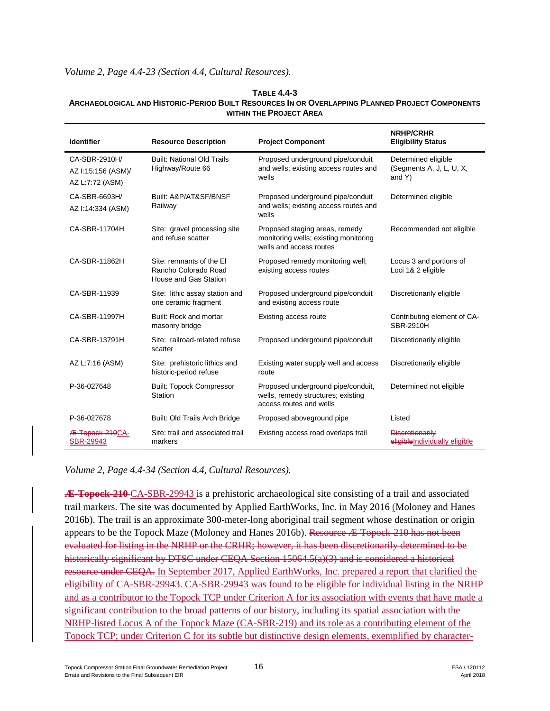#### *Volume 2, Page 4.4-23 (Section 4.4, Cultural Resources).*

#### **TABLE 4.4-3 ARCHAEOLOGICAL AND HISTORIC-PERIOD BUILT RESOURCES IN OR OVERLAPPING PLANNED PROJECT COMPONENTS WITHIN THE PROJECT AREA**

| <b>Identifier</b>                                      | <b>Resource Description</b>                                               | <b>Project Component</b>                                                                            | <b>NRHP/CRHR</b><br><b>Eligibility Status</b>             |
|--------------------------------------------------------|---------------------------------------------------------------------------|-----------------------------------------------------------------------------------------------------|-----------------------------------------------------------|
| CA-SBR-2910H/<br>AZ I:15:156 (ASM)/<br>AZ L:7:72 (ASM) | <b>Built: National Old Trails</b><br>Highway/Route 66                     | Proposed underground pipe/conduit<br>and wells; existing access routes and<br>wells                 | Determined eligible<br>(Segments A, J, L, U, X,<br>and Y) |
| CA-SBR-6693H/<br>AZ I:14:334 (ASM)                     | Built: A&P/AT&SF/BNSF<br>Railway                                          | Proposed underground pipe/conduit<br>and wells; existing access routes and<br>wells                 | Determined eligible                                       |
| CA-SBR-11704H                                          | Site: gravel processing site<br>and refuse scatter                        | Proposed staging areas, remedy<br>monitoring wells; existing monitoring<br>wells and access routes  | Recommended not eligible                                  |
| CA-SBR-11862H                                          | Site: remnants of the El<br>Rancho Colorado Road<br>House and Gas Station | Proposed remedy monitoring well;<br>existing access routes                                          | Locus 3 and portions of<br>Loci 1& 2 eligible             |
| CA-SBR-11939                                           | Site: lithic assay station and<br>one ceramic fragment                    | Proposed underground pipe/conduit<br>and existing access route                                      | Discretionarily eligible                                  |
| CA-SBR-11997H                                          | Built: Rock and mortar<br>masonry bridge                                  | Existing access route                                                                               | Contributing element of CA-<br><b>SBR-2910H</b>           |
| CA-SBR-13791H                                          | Site: railroad-related refuse<br>scatter                                  | Proposed underground pipe/conduit                                                                   | Discretionarily eligible                                  |
| AZ L:7:16 (ASM)                                        | Site: prehistoric lithics and<br>historic-period refuse                   | Existing water supply well and access<br>route                                                      | Discretionarily eligible                                  |
| P-36-027648                                            | <b>Built: Topock Compressor</b><br>Station                                | Proposed underground pipe/conduit,<br>wells, remedy structures; existing<br>access routes and wells | Determined not eligible                                   |
| P-36-027678                                            | Built: Old Trails Arch Bridge                                             | Proposed aboveground pipe                                                                           | Listed                                                    |
| Æ-Topock-210CA-<br>SBR-29943                           | Site: trail and associated trail<br>markers                               | Existing access road overlaps trail                                                                 | <b>Discretionarily</b><br>eligible Individually eligible  |

*Volume 2, Page 4.4-34 (Section 4.4, Cultural Resources).*

**Æ-Topock-210** CA-SBR-29943 is a prehistoric archaeological site consisting of a trail and associated trail markers. The site was documented by Applied EarthWorks, Inc. in May 2016 (Moloney and Hanes 2016b). The trail is an approximate 300-meter-long aboriginal trail segment whose destination or origin appears to be the Topock Maze (Moloney and Hanes 2016b). Resource Æ-Topock-210 has not been evaluated for listing in the NRHP or the CRHR; however, it has been discretionarily determined to be historically significant by DTSC under CEQA Section 15064.5(a)(3) and is considered a historical resource under CEQA. In September 2017, Applied EarthWorks, Inc. prepared a report that clarified the eligibility of CA-SBR-29943. CA-SBR-29943 was found to be eligible for individual listing in the NRHP and as a contributor to the Topock TCP under Criterion A for its association with events that have made a significant contribution to the broad patterns of our history, including its spatial association with the NRHP-listed Locus A of the Topock Maze (CA-SBR-219) and its role as a contributing element of the Topock TCP; under Criterion C for its subtle but distinctive design elements, exemplified by character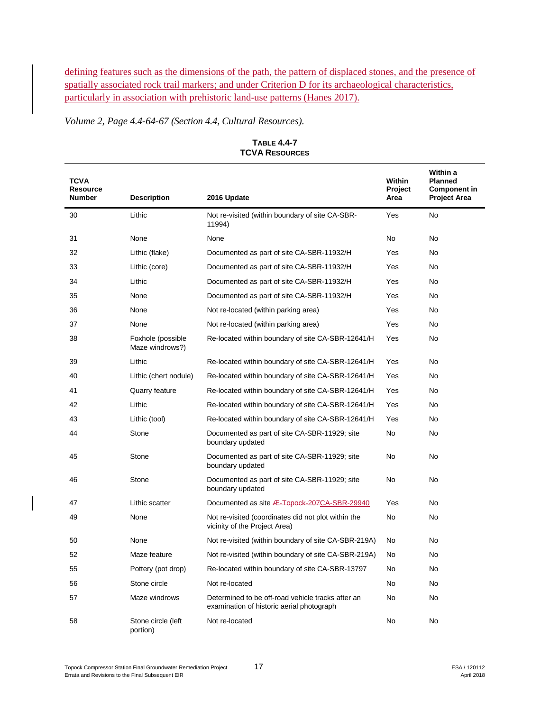defining features such as the dimensions of the path, the pattern of displaced stones, and the presence of spatially associated rock trail markers; and under Criterion D for its archaeological characteristics, particularly in association with prehistoric land-use patterns (Hanes 2017).

*Volume 2, Page 4.4-64-67 (Section 4.4, Cultural Resources).*

| <b>TCVA</b><br><b>Resource</b><br><b>Number</b> | <b>Description</b>                   | 2016 Update                                                                                    | Within<br>Project<br>Area | Within a<br><b>Planned</b><br><b>Component in</b><br><b>Project Area</b> |
|-------------------------------------------------|--------------------------------------|------------------------------------------------------------------------------------------------|---------------------------|--------------------------------------------------------------------------|
| 30                                              | Lithic                               | Not re-visited (within boundary of site CA-SBR-<br>11994)                                      | Yes                       | No.                                                                      |
| 31                                              | None                                 | None                                                                                           | No                        | No                                                                       |
| 32                                              | Lithic (flake)                       | Documented as part of site CA-SBR-11932/H                                                      | Yes                       | No.                                                                      |
| 33                                              | Lithic (core)                        | Documented as part of site CA-SBR-11932/H                                                      | Yes                       | N <sub>o</sub>                                                           |
| 34                                              | Lithic                               | Documented as part of site CA-SBR-11932/H                                                      | Yes                       | N <sub>o</sub>                                                           |
| 35                                              | None                                 | Documented as part of site CA-SBR-11932/H                                                      | Yes                       | N <sub>o</sub>                                                           |
| 36                                              | None                                 | Not re-located (within parking area)                                                           | Yes                       | No.                                                                      |
| 37                                              | None                                 | Not re-located (within parking area)                                                           | Yes                       | No.                                                                      |
| 38                                              | Foxhole (possible<br>Maze windrows?) | Re-located within boundary of site CA-SBR-12641/H                                              | <b>Yes</b>                | No.                                                                      |
| 39                                              | Lithic                               | Re-located within boundary of site CA-SBR-12641/H                                              | Yes                       | No.                                                                      |
| 40                                              | Lithic (chert nodule)                | Re-located within boundary of site CA-SBR-12641/H                                              | Yes                       | No.                                                                      |
| 41                                              | <b>Quarry feature</b>                | Re-located within boundary of site CA-SBR-12641/H                                              | Yes                       | No.                                                                      |
| 42                                              | Lithic                               | Re-located within boundary of site CA-SBR-12641/H                                              | Yes                       | No.                                                                      |
| 43                                              | Lithic (tool)                        | Re-located within boundary of site CA-SBR-12641/H                                              | Yes                       | <b>No</b>                                                                |
| 44                                              | Stone                                | Documented as part of site CA-SBR-11929; site<br>boundary updated                              | No                        | <b>No</b>                                                                |
| 45                                              | Stone                                | Documented as part of site CA-SBR-11929; site<br>boundary updated                              | No                        | No                                                                       |
| 46                                              | Stone                                | Documented as part of site CA-SBR-11929; site<br>boundary updated                              | No                        | No                                                                       |
| 47                                              | Lithic scatter                       | Documented as site <b>Æ-Topock-207CA-SBR-29940</b>                                             | Yes                       | No.                                                                      |
| 49                                              | None                                 | Not re-visited (coordinates did not plot within the<br>vicinity of the Project Area)           | <b>No</b>                 | No                                                                       |
| 50                                              | None                                 | Not re-visited (within boundary of site CA-SBR-219A)                                           | No                        | No                                                                       |
| 52                                              | Maze feature                         | Not re-visited (within boundary of site CA-SBR-219A)                                           | No                        | No                                                                       |
| 55                                              | Pottery (pot drop)                   | Re-located within boundary of site CA-SBR-13797                                                | No                        | No.                                                                      |
| 56                                              | Stone circle                         | Not re-located                                                                                 | <b>No</b>                 | No.                                                                      |
| 57                                              | Maze windrows                        | Determined to be off-road vehicle tracks after an<br>examination of historic aerial photograph | No                        | No                                                                       |
| 58                                              | Stone circle (left<br>portion)       | Not re-located                                                                                 | No                        | <b>No</b>                                                                |

**TABLE 4.4-7 TCVA RESOURCES**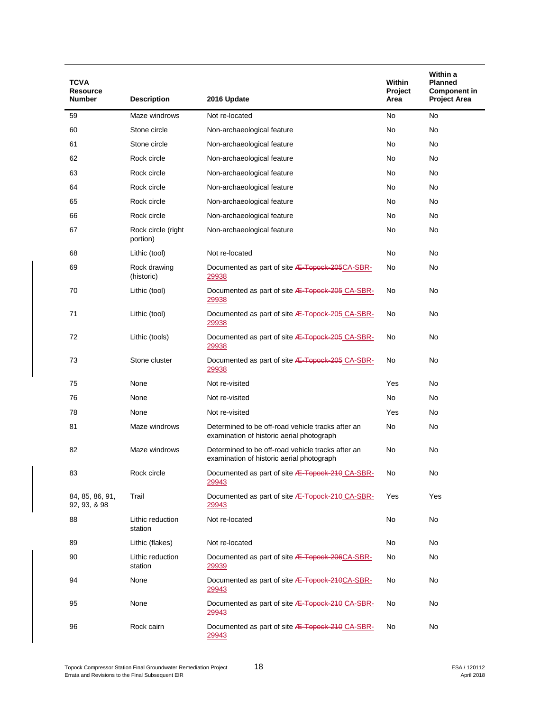| TCVA<br><b>Resource</b><br><b>Number</b> | <b>Description</b>             | 2016 Update                                                                                    | Within<br>Project<br>Area | Within a<br><b>Planned</b><br><b>Component in</b><br><b>Project Area</b> |
|------------------------------------------|--------------------------------|------------------------------------------------------------------------------------------------|---------------------------|--------------------------------------------------------------------------|
| 59                                       | Maze windrows                  | Not re-located                                                                                 | No                        | No                                                                       |
| 60                                       | Stone circle                   | Non-archaeological feature                                                                     | No                        | No                                                                       |
| 61                                       | Stone circle                   | Non-archaeological feature                                                                     | No                        | No                                                                       |
| 62                                       | Rock circle                    | Non-archaeological feature                                                                     | No                        | No                                                                       |
| 63                                       | Rock circle                    | Non-archaeological feature                                                                     | No                        | No                                                                       |
| 64                                       | Rock circle                    | Non-archaeological feature                                                                     | No                        | No                                                                       |
| 65                                       | Rock circle                    | Non-archaeological feature                                                                     | No                        | No                                                                       |
| 66                                       | Rock circle                    |                                                                                                | No                        | No                                                                       |
|                                          |                                | Non-archaeological feature                                                                     |                           |                                                                          |
| 67                                       | Rock circle (right<br>portion) | Non-archaeological feature                                                                     | No                        | No                                                                       |
| 68                                       | Lithic (tool)                  | Not re-located                                                                                 | No                        | No                                                                       |
| 69                                       | Rock drawing<br>(historic)     | Documented as part of site <b>Æ-Topock-205CA-SBR-</b><br><u> 29938</u>                         | No                        | No                                                                       |
| 70                                       | Lithic (tool)                  | Documented as part of site <b>Æ-Topock-205</b> CA-SBR-<br>29938                                | No                        | No                                                                       |
| 71                                       | Lithic (tool)                  | Documented as part of site <b>Æ-Topock-205 CA-SBR-</b><br>29938                                | No                        | No                                                                       |
| 72                                       | Lithic (tools)                 | Documented as part of site <b>Æ-Topock-205</b> CA-SBR-<br><u> 29938</u>                        | No                        | No                                                                       |
| 73                                       | Stone cluster                  | Documented as part of site <b>Æ-Topock-205 CA-SBR-</b><br>29938                                | No                        | No                                                                       |
| 75                                       | None                           | Not re-visited                                                                                 | Yes                       | No                                                                       |
| 76                                       | None                           | Not re-visited                                                                                 | No                        | No                                                                       |
| 78                                       | None                           | Not re-visited                                                                                 | Yes                       | No                                                                       |
| 81                                       | Maze windrows                  | Determined to be off-road vehicle tracks after an<br>examination of historic aerial photograph | No                        | No                                                                       |
| 82                                       | Maze windrows                  | Determined to be off-road vehicle tracks after an<br>examination of historic aerial photograph | No                        | No                                                                       |
| 83                                       | Rock circle                    | Documented as part of site <b>/E-Topock-210 CA-SBR-</b><br>29943                               | No                        | No                                                                       |
| 84, 85, 86, 91,<br>92, 93, & 98          | Trail                          | Documented as part of site <b>Æ-Topock-210</b> CA-SBR-<br>29943                                | Yes                       | Yes                                                                      |
| 88                                       | Lithic reduction<br>station    | Not re-located                                                                                 | No                        | No                                                                       |
| 89                                       | Lithic (flakes)                | Not re-located                                                                                 | No                        | No                                                                       |
| 90                                       | Lithic reduction<br>station    | Documented as part of site <b>Æ-Topock-206CA-SBR-</b><br>29939                                 | No                        | No                                                                       |
| 94                                       | None                           | Documented as part of site <b>Æ-Topock-210CA-SBR-</b><br>29943                                 | No                        | No                                                                       |
| 95                                       | None                           | Documented as part of site <b>Æ-Topock-210 CA-SBR-</b><br>29943                                | No                        | No                                                                       |
| 96                                       | Rock cairn                     | Documented as part of site <b>Æ-Topock-210 CA-SBR-</b><br>29943                                | No                        | No                                                                       |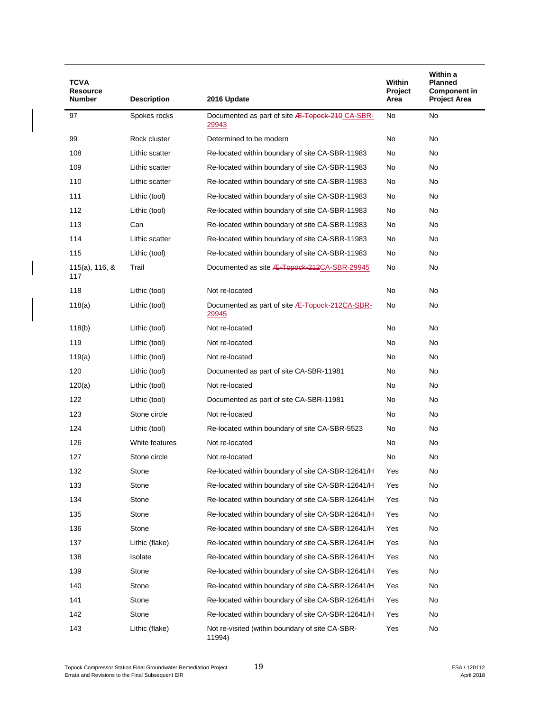| TCVA<br><b>Resource</b>  |                    |                                                                 | <b>Within</b><br>Project | Within a<br><b>Planned</b><br><b>Component in</b> |
|--------------------------|--------------------|-----------------------------------------------------------------|--------------------------|---------------------------------------------------|
| <b>Number</b>            | <b>Description</b> | 2016 Update                                                     | Area                     | <b>Project Area</b>                               |
| 97                       | Spokes rocks       | Documented as part of site <b>Æ-Topock-210 CA-SBR-</b><br>29943 | No                       | No                                                |
| 99                       | Rock cluster       | Determined to be modern                                         | No                       | No                                                |
| 108                      | Lithic scatter     | Re-located within boundary of site CA-SBR-11983                 | No                       | No                                                |
| 109                      | Lithic scatter     | Re-located within boundary of site CA-SBR-11983                 | No                       | No                                                |
| 110                      | Lithic scatter     | Re-located within boundary of site CA-SBR-11983                 | No                       | No                                                |
| 111                      | Lithic (tool)      | Re-located within boundary of site CA-SBR-11983                 | No                       | No                                                |
| 112                      | Lithic (tool)      | Re-located within boundary of site CA-SBR-11983                 | No                       | No                                                |
| 113                      | Can                | Re-located within boundary of site CA-SBR-11983                 | No                       | <b>No</b>                                         |
| 114                      | Lithic scatter     | Re-located within boundary of site CA-SBR-11983                 | No                       | No                                                |
| 115                      | Lithic (tool)      | Re-located within boundary of site CA-SBR-11983                 | No                       | No                                                |
| $115(a)$ , 116, &<br>117 | Trail              | Documented as site <del>/E-Topock-212</del> CA-SBR-29945        | No                       | No                                                |
| 118                      | Lithic (tool)      | Not re-located                                                  | No                       | No                                                |
| 118(a)                   | Lithic (tool)      | Documented as part of site <b>Æ-Topock-212CA-SBR-</b><br>29945  | No                       | No                                                |
| 118(b)                   | Lithic (tool)      | Not re-located                                                  | No                       | No                                                |
| 119                      | Lithic (tool)      | Not re-located                                                  | No                       | No                                                |
| 119(a)                   | Lithic (tool)      | Not re-located                                                  | No                       | No                                                |
| 120                      | Lithic (tool)      | Documented as part of site CA-SBR-11981                         | No                       | No                                                |
| 120(a)                   | Lithic (tool)      | Not re-located                                                  | No.                      | No                                                |
| 122                      | Lithic (tool)      | Documented as part of site CA-SBR-11981                         | No                       | No                                                |
| 123                      | Stone circle       | Not re-located                                                  | No                       | No                                                |
| 124                      | Lithic (tool)      | Re-located within boundary of site CA-SBR-5523                  | No                       | No                                                |
| 126                      | White features     | Not re-located                                                  | No                       | No                                                |
| 127                      | Stone circle       | Not re-located                                                  | No                       | No                                                |
| 132                      | Stone              | Re-located within boundary of site CA-SBR-12641/H               | Yes                      | No                                                |
| 133                      | Stone              | Re-located within boundary of site CA-SBR-12641/H               | Yes                      | No                                                |
| 134                      | Stone              | Re-located within boundary of site CA-SBR-12641/H               | Yes                      | No                                                |
| 135                      | Stone              | Re-located within boundary of site CA-SBR-12641/H               | Yes                      | No                                                |
| 136                      | Stone              | Re-located within boundary of site CA-SBR-12641/H               | Yes                      | No                                                |
| 137                      | Lithic (flake)     | Re-located within boundary of site CA-SBR-12641/H               | Yes                      | No                                                |
| 138                      | Isolate            | Re-located within boundary of site CA-SBR-12641/H               | Yes                      | No                                                |
| 139                      | Stone              | Re-located within boundary of site CA-SBR-12641/H               | Yes                      | No                                                |
| 140                      | Stone              | Re-located within boundary of site CA-SBR-12641/H               | Yes                      | No                                                |
| 141                      | Stone              | Re-located within boundary of site CA-SBR-12641/H               | Yes                      | No                                                |
| 142                      | Stone              | Re-located within boundary of site CA-SBR-12641/H               | Yes                      | No                                                |
| 143                      | Lithic (flake)     | Not re-visited (within boundary of site CA-SBR-<br>11994)       | Yes                      | No                                                |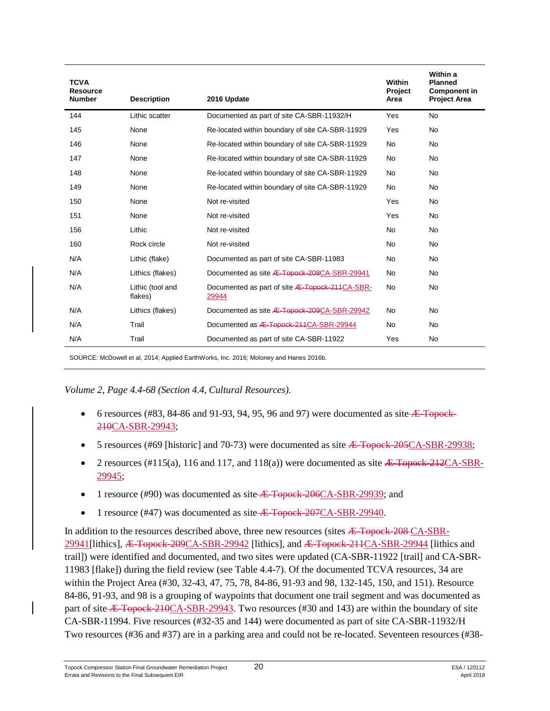| <b>TCVA</b><br><b>Resource</b><br><b>Number</b> | <b>Description</b>          | 2016 Update                                                    | <b>Within</b><br>Project<br>Area | Within a<br><b>Planned</b><br><b>Component in</b><br><b>Project Area</b> |
|-------------------------------------------------|-----------------------------|----------------------------------------------------------------|----------------------------------|--------------------------------------------------------------------------|
| 144                                             | Lithic scatter              | Documented as part of site CA-SBR-11932/H                      | Yes                              | <b>No</b>                                                                |
| 145                                             | None                        | Re-located within boundary of site CA-SBR-11929                | Yes                              | <b>No</b>                                                                |
| 146                                             | None                        | Re-located within boundary of site CA-SBR-11929                | <b>No</b>                        | No.                                                                      |
| 147                                             | None                        | Re-located within boundary of site CA-SBR-11929                | <b>No</b>                        | No.                                                                      |
| 148                                             | None                        | Re-located within boundary of site CA-SBR-11929                | <b>No</b>                        | <b>No</b>                                                                |
| 149                                             | None                        | Re-located within boundary of site CA-SBR-11929                | <b>No</b>                        | <b>No</b>                                                                |
| 150                                             | None                        | Not re-visited                                                 | Yes                              | No.                                                                      |
| 151                                             | None                        | Not re-visited                                                 | Yes                              | No.                                                                      |
| 156                                             | Lithic                      | Not re-visited                                                 | <b>No</b>                        | <b>No</b>                                                                |
| 160                                             | Rock circle                 | Not re-visited                                                 | No                               | No.                                                                      |
| N/A                                             | Lithic (flake)              | Documented as part of site CA-SBR-11983                        | No                               | No.                                                                      |
| N/A                                             | Lithics (flakes)            | Documented as site <b>Æ-Topock-208CA-SBR-29941</b>             | No                               | No.                                                                      |
| N/A                                             | Lithic (tool and<br>flakes) | Documented as part of site <b>Æ-Topock-211CA-SBR-</b><br>29944 | <b>No</b>                        | <b>No</b>                                                                |
| N/A                                             | Lithics (flakes)            | Documented as site <b>Æ-Topock-209CA-SBR-29942</b>             | <b>No</b>                        | No.                                                                      |
| N/A                                             | Trail                       | Documented as <b>Æ-Topock-211CA-SBR-29944</b>                  | <b>No</b>                        | No.                                                                      |
| N/A                                             | Trail                       | Documented as part of site CA-SBR-11922                        | Yes                              | No.                                                                      |

SOURCE: McDowell et al, 2014; Applied EarthWorks, Inc. 2016; Moloney and Hanes 2016b.

*Volume 2, Page 4.4-68 (Section 4.4, Cultural Resources).*

- 6 resources (#83, 84-86 and 91-93, 94, 95, 96 and 97) were documented as site  $\overline{AB}$ -Topock-210CA-SBR-29943;
- 5 resources (#69 [historic] and 70-73) were documented as site  $\angle E$  Topock-205CA-SBR-29938;
- 2 resources (#115(a), 116 and 117, and 118(a)) were documented as site  $\angle E$  Topock-212CA-SBR-29945;
- 1 resource  $(\text{\#90})$  was documented as site  $\overline{E}$  Topock-206CA-SBR-29939; and
- 1 resource (#47) was documented as site Æ-Topock-207CA-SBR-29940.

In addition to the resources described above, three new resources (sites  $\overline{A}$ -Topock-208 CA-SBR-29941 [lithics], <del>Æ-Topock-209</del>CA-SBR-29942 [lithics], and <del>Æ-Topock-211</del>CA-SBR-29944 [lithics and trail]) were identified and documented, and two sites were updated (CA-SBR-11922 [trail] and CA-SBR-11983 [flake]) during the field review (see Table 4.4-7). Of the documented TCVA resources, 34 are within the Project Area (#30, 32-43, 47, 75, 78, 84-86, 91-93 and 98, 132-145, 150, and 151). Resource 84-86, 91-93, and 98 is a grouping of waypoints that document one trail segment and was documented as part of site  $\overline{E}$ -Topock-210CA-SBR-29943. Two resources (#30 and 143) are within the boundary of site CA-SBR-11994. Five resources (#32-35 and 144) were documented as part of site CA-SBR-11932/H Two resources (#36 and #37) are in a parking area and could not be re-located. Seventeen resources (#38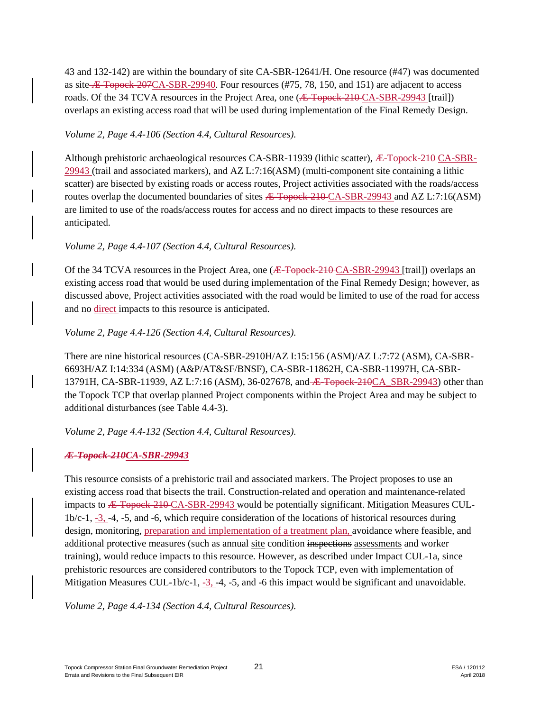43 and 132-142) are within the boundary of site CA-SBR-12641/H. One resource (#47) was documented as site  $\overline{E}$ -Topock-207CA-SBR-29940. Four resources (#75, 78, 150, and 151) are adjacent to access roads. Of the 34 TCVA resources in the Project Area, one (<del>*Æ* Topock 210</del> CA-SBR-29943 [trail]) overlaps an existing access road that will be used during implementation of the Final Remedy Design.

#### *Volume 2, Page 4.4-106 (Section 4.4, Cultural Resources).*

Although prehistoric archaeological resources CA-SBR-11939 (lithic scatter), Æ-Topock-210 CA-SBR-29943 (trail and associated markers), and AZ L:7:16(ASM) (multi-component site containing a lithic scatter) are bisected by existing roads or access routes, Project activities associated with the roads/access routes overlap the documented boundaries of sites  $\overline{A}$ -Topock-210 CA-SBR-29943 and AZ L:7:16(ASM) are limited to use of the roads/access routes for access and no direct impacts to these resources are anticipated.

### *Volume 2, Page 4.4-107 (Section 4.4, Cultural Resources).*

Of the 34 TCVA resources in the Project Area, one (<del>Æ Topock 210</del> CA-SBR-29943 [trail]) overlaps an existing access road that would be used during implementation of the Final Remedy Design; however, as discussed above, Project activities associated with the road would be limited to use of the road for access and no direct impacts to this resource is anticipated.

#### *Volume 2, Page 4.4-126 (Section 4.4, Cultural Resources).*

There are nine historical resources (CA-SBR-2910H/AZ I:15:156 (ASM)/AZ L:7:72 (ASM), CA-SBR-6693H/AZ I:14:334 (ASM) (A&P/AT&SF/BNSF), CA-SBR-11862H, CA-SBR-11997H, CA-SBR-13791H, CA-SBR-11939, AZ L:7:16 (ASM), 36-027678, and <del>E Topock-210</del>CA SBR-29943) other than the Topock TCP that overlap planned Project components within the Project Area and may be subject to additional disturbances (see Table 4.4-3).

*Volume 2, Page 4.4-132 (Section 4.4, Cultural Resources).*

## *Æ-Topock-210CA-SBR-29943*

This resource consists of a prehistoric trail and associated markers. The Project proposes to use an existing access road that bisects the trail. Construction-related and operation and maintenance-related impacts to Æ-Topock-210 CA-SBR-29943 would be potentially significant. Mitigation Measures CUL-1b/c-1, -3, -4, -5, and -6, which require consideration of the locations of historical resources during design, monitoring, preparation and implementation of a treatment plan, avoidance where feasible, and additional protective measures (such as annual site condition inspections assessments and worker training), would reduce impacts to this resource. However, as described under Impact CUL-1a, since prehistoric resources are considered contributors to the Topock TCP, even with implementation of Mitigation Measures CUL-1b/c-1,  $-3$ , -4, -5, and -6 this impact would be significant and unavoidable.

*Volume 2, Page 4.4-134 (Section 4.4, Cultural Resources).*

Topock Compressor Station Final Groundwater Remediation Project 21 ESA / 120112 Errata and Revisions to the Final Subsequent EIR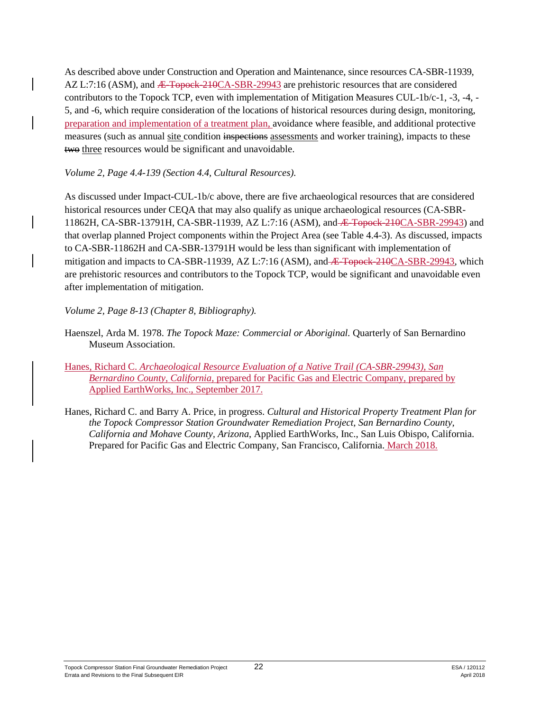As described above under Construction and Operation and Maintenance, since resources CA-SBR-11939,  $AZ L:7:16 (ASM), and *E*-Topoek-210CA-SBR-29943 are prehistoric resources that are considered$ contributors to the Topock TCP, even with implementation of Mitigation Measures CUL-1b/c-1, -3, -4, - 5, and -6, which require consideration of the locations of historical resources during design, monitoring, preparation and implementation of a treatment plan, avoidance where feasible, and additional protective measures (such as annual site condition inspections assessments and worker training), impacts to these two three resources would be significant and unavoidable.

#### *Volume 2, Page 4.4-139 (Section 4.4, Cultural Resources).*

As discussed under Impact-CUL-1b/c above, there are five archaeological resources that are considered historical resources under CEQA that may also qualify as unique archaeological resources (CA-SBR-11862H, CA-SBR-13791H, CA-SBR-11939, AZ L:7:16 (ASM), and Æ-Topock-210CA-SBR-29943) and that overlap planned Project components within the Project Area (see Table 4.4-3). As discussed, impacts to CA-SBR-11862H and CA-SBR-13791H would be less than significant with implementation of mitigation and impacts to CA-SBR-11939, AZ L:7:16 (ASM), and <del>E Topock-210CA-SBR-29943</del>, which are prehistoric resources and contributors to the Topock TCP, would be significant and unavoidable even after implementation of mitigation.

### *Volume 2, Page 8-13 (Chapter 8, Bibliography).*

- Haenszel, Arda M. 1978. *The Topock Maze: Commercial or Aboriginal.* Quarterly of San Bernardino Museum Association.
- Hanes, Richard C. *Archaeological Resource Evaluation of a Native Trail (CA-SBR-29943), San Bernardino County, California,* prepared for Pacific Gas and Electric Company, prepared by Applied EarthWorks, Inc., September 2017.
- Hanes, Richard C. and Barry A. Price, in progress. *Cultural and Historical Property Treatment Plan for the Topock Compressor Station Groundwater Remediation Project, San Bernardino County, California and Mohave County, Arizona*, Applied EarthWorks, Inc., San Luis Obispo, California. Prepared for Pacific Gas and Electric Company, San Francisco, California. March 2018.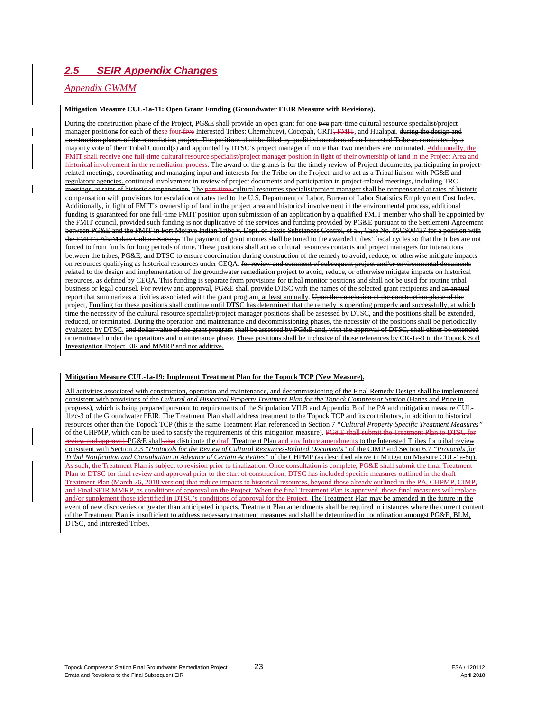# *2.5 SEIR Appendix Changes*

#### *Appendix GWMM*

#### **Mitigation Measure CUL-1a-11: Open Grant Funding (Groundwater FEIR Measure with Revisions).**

During the construction phase of the Project, PG&E shall provide an open grant for one two part-time cultural resource specialist/project manager positions for each of these four five Interested Tribes: Chemehuevi, Cocopah, CRIT<del>, FMIT</del>, and Hualapai. during the design and construction phases of the remediation project. The positions shall be filled by qualified members of an Interested Tribe as nominated by a majority vote of their Tribal Council(s) and appointed by DTSC's project manager if more than two members are nominated. Additionally, the FMIT shall receive one full-time cultural resource specialist/project manager position in light of their ownership of land in the Project Area and historical involvement in the remediation process. The award of the grants is for the timely review of Project documents, participating in projectrelated meetings, coordinating and managing input and interests for the Tribe on the Project, and to act as a Tribal liaison with PG&E and regulatory agencies. continued involvement in review of project documents and participation in project-related meetings, including TRC meetings, at rates of historic compensation. The part-time cultural resources specialist/project manager shall be compensated at rates of historic compensation with provisions for escalation of rates tied to the U.S. Department of Labor, Bureau of Labor Statistics Employment Cost Index. Additionally, in light of FMIT's ownership of land in the project area and historical involvement in the environmental process, additional funding is guaranteed for one full-time FMIT position upon submission of an application by a qualified FMIT member who shall be appointed by the FMIT council, provided such funding is not duplicative of the services and funding provided by PG&E pursuant to the Settlement Agreement between PG&E and the FMIT in Fort Mojave Indian Tribe v. Dept. of Toxic Substances Control, et al., Case No. 05CS00437 for a position with the FMIT's AhaMakav Culture Society. The payment of grant monies shall be timed to the awarded tribes' fiscal cycles so that the tribes are not forced to front funds for long periods of time. These positions shall act as cultural resources contacts and project managers for interactions between the tribes, PG&E, and DTSC to ensure coordination during construction of the remedy to avoid, reduce, or otherwise mitigate impacts on resources qualifying as historical resources under CEQA. for review and comment of subsequent project and/or environmental documents related to the design and implementation of the groundwater remediation project to avoid, reduce, or otherwise mitigate impacts on historical **EXECUTE:**  $\frac{1}{100}$  and  $\frac{1}{100}$  and  $\frac{1}{100}$  is separate from provisions for tribal monitor positions and shall not be used for routine tribal business or legal counsel. For review and approval, PG&E shall provide DTSC with the names of the selected grant recipients and an annual report that summarizes activities associated with the grant program, at least annually. Upon the conclusion of the construction phase of the project, Funding for these positions shall continue until DTSC has determined that the remedy is operating properly and successfully, at which time the necessity of the cultural resource specialist/project manager positions shall be assessed by DTSC, and the positions shall be extended, reduced, or terminated. During the operation and maintenance and decommissioning phases, the necessity of the positions shall be periodically evaluated by DTSC. and dollar value of the grant program shall be assessed by PG&E and, with the approval of DTSC, shall either be extended or terminated under the operations and maintenance phase. These positions shall be inclusive of those references by CR-1e-9 in the Topock Soil Investigation Project EIR and MMRP and not additive.

#### **Mitigation Measure CUL-1a-19: Implement Treatment Plan for the Topock TCP (New Measure).**

All activities associated with construction, operation and maintenance, and decommissioning of the Final Remedy Design shall be implemented consistent with provisions of the *Cultural and Historical Property Treatment Plan for the Topock Compressor Station* (Hanes and Price in progress), which is being prepared pursuant to requirements of the Stipulation VII.B and Appendix B of the PA and mitigation measure CUL-1b/c-3 of the Groundwater FEIR. The Treatment Plan shall address treatment to the Topock TCP and its contributors, in addition to historical resources other than the Topock TCP (this is the same Treatment Plan referenced in Section 7 *"Cultural Property-Specific Treatment Measures"* of the CHPMP, which can be used to satisfy the requirements of this mitigation measure). PG&E shall submit the Treatment Plan to DTSC for review and approval. PG&E shall also distribute the draft Treatment Plan and any future amendments to the Interested Tribes for tribal review consistent with Section 2.3 *"Protocols for the Review of Cultural Resources-Related Documents"* of the CIMP and Section 6.7 *"Protocols for Tribal Notification and Consultation in Advance of Certain Activities"* of the CHPMP (as described above in Mitigation Measure CUL-1a-8q). As such, the Treatment Plan is subject to revision prior to finalization. Once consultation is complete, PG&E shall submit the final Treatment Plan to DTSC for final review and approval prior to the start of construction. DTSC has included specific measures outlined in the draft Treatment Plan (March 26, 2018 version) that reduce impacts to historical resources, beyond those already outlined in the PA, CHPMP, CIMP, and Final SEIR MMRP, as conditions of approval on the Project. When the final Treatment Plan is approved, those final measures will replace and/or supplement those identified in DTSC's conditions of approval for the Project. The Treatment Plan may be amended in the future in the event of new discoveries or greater than anticipated impacts. Treatment Plan amendments shall be required in instances where the current content of the Treatment Plan is insufficient to address necessary treatment measures and shall be determined in coordination amongst PG&E, BLM, DTSC, and Interested Tribes.